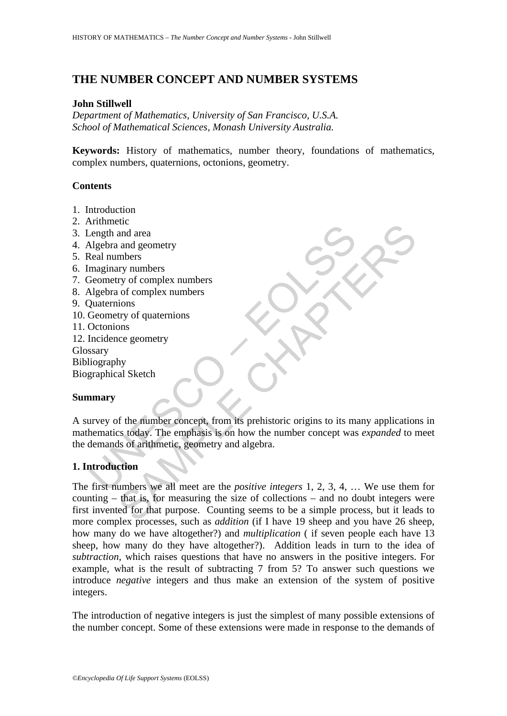# **THE NUMBER CONCEPT AND NUMBER SYSTEMS**

## **John Stillwell**

*Department of Mathematics, University of San Francisco, U.S.A. School of Mathematical Sciences, Monash University Australia.* 

**Keywords:** History of mathematics, number theory, foundations of mathematics, complex numbers, quaternions, octonions, geometry.

## **Contents**

- 1. Introduction
- 2. Arithmetic
- 3. Length and area
- 4. Algebra and geometry
- 5. Real numbers
- 6. Imaginary numbers
- 7. Geometry of complex numbers
- 8. Algebra of complex numbers
- 9. Quaternions
- 10. Geometry of quaternions
- 11. Octonions
- 12. Incidence geometry
- Glossary

Bibliography

Biographical Sketch

## **Summary**

Figure and area<br>
Algebra and geometry<br>
Neal numbers<br>
maginary numbers<br>
Magebra of complex numbers<br>
Nutaternions<br>
Quaternions<br>
Quaternions<br>
Quaternions<br>
Quaternions<br>
Contonions<br>
Contonions<br>
Contonions<br>
Secometry of quaterni A survey of the number concept, from its prehistoric origins to its many applications in mathematics today. The emphasis is on how the number concept was *expanded* to meet the demands of arithmetic, geometry and algebra.

## **1. Introduction**

SAMPLE CHAPTERS The first numbers we all meet are the *positive integers* 1, 2, 3, 4, … We use them for counting – that is, for measuring the size of collections – and no doubt integers were first invented for that purpose. Counting seems to be a simple process, but it leads to more complex processes, such as *addition* (if I have 19 sheep and you have 26 sheep, how many do we have altogether?) and *multiplication* ( if seven people each have 13 sheep, how many do they have altogether?). Addition leads in turn to the idea of *subtraction*, which raises questions that have no answers in the positive integers. For example, what is the result of subtracting 7 from 5? To answer such questions we introduce *negative* integers and thus make an extension of the system of positive integers.

The introduction of negative integers is just the simplest of many possible extensions of the number concept. Some of these extensions were made in response to the demands of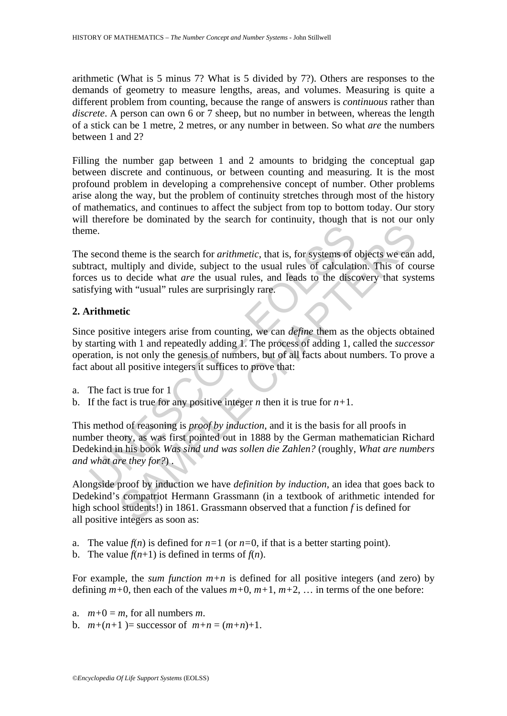arithmetic (What is 5 minus 7? What is 5 divided by 7?). Others are responses to the demands of geometry to measure lengths, areas, and volumes. Measuring is quite a different problem from counting, because the range of answers is *continuous* rather than *discrete*. A person can own 6 or 7 sheep, but no number in between, whereas the length of a stick can be 1 metre, 2 metres, or any number in between. So what *are* the numbers between 1 and 2?

Filling the number gap between 1 and 2 amounts to bridging the conceptual gap between discrete and continuous, or between counting and measuring. It is the most profound problem in developing a comprehensive concept of number. Other problems arise along the way, but the problem of continuity stretches through most of the history of mathematics, and continues to affect the subject from top to bottom today. Our story will therefore be dominated by the search for continuity, though that is not our only theme.

The second theme is the search for *arithmetic*, that is, for systems of objects we can add, subtract, multiply and divide, subject to the usual rules of calculation. This of course forces us to decide what *are* the usual rules, and leads to the discovery that systems satisfying with "usual" rules are surprisingly rare.

## **2. Arithmetic**

me.<br>
second theme is the search for *arithmetic*, that is, for systems of cract, multiply and divide, subject to the usual rules of calculations as us to decide what *are* the usual rules, and leads to the discosity of th The set of the search for *arithmetic*, that is, for systems of objects we can<br>ultiply and divide, subject to the usual rules of calculation. This of co<br>o decide what *are* the usual rules, and leads to the discovery that Since positive integers arise from counting, we can *define* them as the objects obtained by starting with 1 and repeatedly adding 1. The process of adding 1, called the *successor* operation, is not only the genesis of numbers, but of all facts about numbers. To prove a fact about all positive integers it suffices to prove that:

- a. The fact is true for 1
- b. If the fact is true for any positive integer *n* then it is true for  $n+1$ .

This method of reasoning is *proof by induction*, and it is the basis for all proofs in number theory, as was first pointed out in 1888 by the German mathematician Richard Dedekind in his book *Was sind und was sollen die Zahlen?* (roughly, *What are numbers and what are they for?*) .

Alongside proof by induction we have *definition by induction*, an idea that goes back to Dedekind's compatriot Hermann Grassmann (in a textbook of arithmetic intended for high school students!) in 1861. Grassmann observed that a function *f* is defined for all positive integers as soon as:

- a. The value  $f(n)$  is defined for  $n=1$  (or  $n=0$ , if that is a better starting point).
- b. The value  $f(n+1)$  is defined in terms of  $f(n)$ .

For example, the *sum function*  $m+n$  is defined for all positive integers (and zero) by defining  $m+0$ , then each of the values  $m+0$ ,  $m+1$ ,  $m+2$ , ... in terms of the one before:

- a.  $m+0 = m$ , for all numbers *m*.
- b.  $m+(n+1)$  = successor of  $m+n = (m+n)+1$ .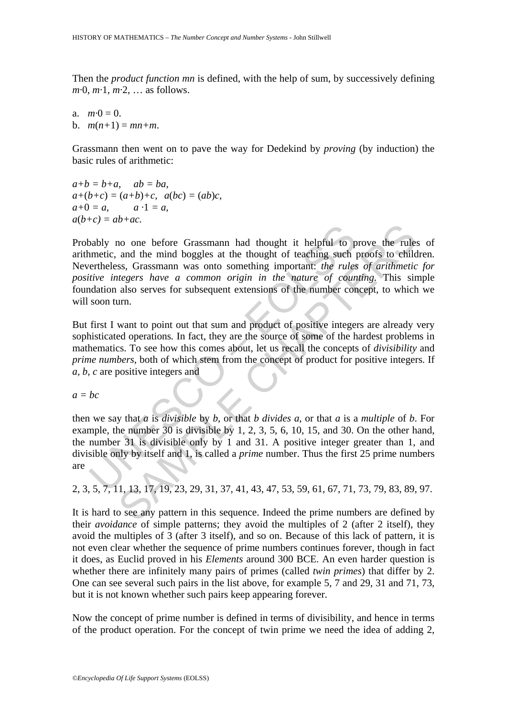Then the *product function mn* is defined, with the help of sum, by successively defining *m·*0, *m·*1, *m·*2, … as follows.

a.  $m \cdot 0 = 0$ . b.  $m(n+1) = mn+m$ .

Grassmann then went on to pave the way for Dedekind by *proving* (by induction) the basic rules of arithmetic:

 $a+b = b+a$ ,  $ab = ba$ .  $a+(b+c) = (a+b)+c, a(bc) = (ab)c,$  $a+0 = a$ ,  $a \cdot 1 = a$ ,  $a(b+c) = ab+ac$ .

by no one before Grassmann had thought it helpful to particle. and the mind boggles at the thought of teaching such pertrheless, Grassmann was onto something important: *the rules* intertive integers have a common origin The momentum and thought it helpful to prove the rule and the mind boggles at the thought of teaching such proofs to child ss, Grassmann was onto something important: *the rules of arithmetitegers have a common origin in* Probably no one before Grassmann had thought it helpful to prove the rules of arithmetic, and the mind boggles at the thought of teaching such proofs to children. Nevertheless, Grassmann was onto something important: *the rules of arithmetic for positive integers have a common origin in the nature of counting.* This simple foundation also serves for subsequent extensions of the number concept, to which we will soon turn.

But first I want to point out that sum and product of positive integers are already very sophisticated operations*.* In fact, they are the source of some of the hardest problems in mathematics. To see how this comes about, let us recall the concepts of *divisibility* and *prime numbers*, both of which stem from the concept of product for positive integers. If *a, b, c* are positive integers and

 $a = bc$ 

then we say that *a* is *divisible* by *b*, or that *b divides a*, or that *a* is a *multiple* of *b*. For example, the number 30 is divisible by 1, 2, 3, 5, 6, 10, 15, and 30. On the other hand, the number 31 is divisible only by 1 and 31. A positive integer greater than 1, and divisible only by itself and 1, is called a *prime* number. Thus the first 25 prime numbers are

2, 3, 5, 7, 11, 13, 17, 19, 23, 29, 31, 37, 41, 43, 47, 53, 59, 61, 67, 71, 73, 79, 83, 89, 97.

It is hard to see any pattern in this sequence. Indeed the prime numbers are defined by their *avoidance* of simple patterns; they avoid the multiples of 2 (after 2 itself), they avoid the multiples of 3 (after 3 itself), and so on. Because of this lack of pattern, it is not even clear whether the sequence of prime numbers continues forever, though in fact it does, as Euclid proved in his *Elements* around 300 BCE. An even harder question is whether there are infinitely many pairs of primes (called *twin primes*) that differ by 2. One can see several such pairs in the list above, for example 5, 7 and 29, 31 and 71, 73, but it is not known whether such pairs keep appearing forever.

Now the concept of prime number is defined in terms of divisibility, and hence in terms of the product operation. For the concept of twin prime we need the idea of adding 2,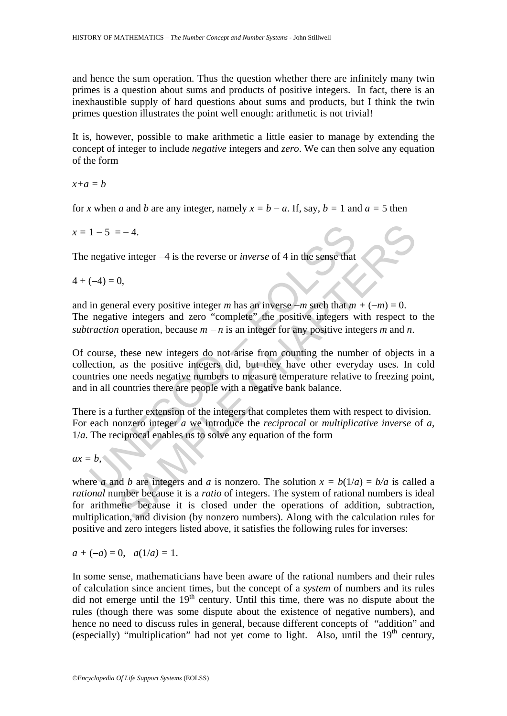and hence the sum operation. Thus the question whether there are infinitely many twin primes is a question about sums and products of positive integers. In fact, there is an inexhaustible supply of hard questions about sums and products, but I think the twin primes question illustrates the point well enough: arithmetic is not trivial!

It is, however, possible to make arithmetic a little easier to manage by extending the concept of integer to include *negative* integers and *zero*. We can then solve any equation of the form

*x+a = b* 

for *x* when *a* and *b* are any integer, namely  $x = b - a$ . If, say,  $b = 1$  and  $a = 5$  then

 $x = 1 - 5 = -4$ .

The negative integer −4 is the reverse or *inverse* of 4 in the sense that

 $4 + (-4) = 0$ ,

and in general every positive integer *m* has an inverse  $-m$  such that  $m + (-m) = 0$ . The negative integers and zero "complete" the positive integers with respect to the *subtraction* operation, because *m* − *n* is an integer for any positive integers *m* and *n*.

 $1-5 = -4$ .<br>
negative integer -4 is the reverse or *inverse* of 4 in the sense that<br>  $(-4) = 0$ ,<br>
in general every positive integer *m* has an inverse -*m* such that *m*<br>
negative integers and zero "complete" the positive int Of course, these new integers do not arise from counting the number of objects in a collection, as the positive integers did, but they have other everyday uses. In cold countries one needs negative numbers to measure temperature relative to freezing point, and in all countries there are people with a negative bank balance.

There is a further extension of the integers that completes them with respect to division. For each nonzero integer *a* we introduce the *reciprocal* or *multiplicative inverse* of *a*, 1/*a*. The reciprocal enables us to solve any equation of the form

$$
ax = b,
$$

 $= -4$ .<br>
we integer  $-4$  is the reverse or *inverse* of 4 in the sense that<br>
0,<br>
0,<br>
cral every positive integer *m* has an inverse  $-m$  such that  $m + (-m) = 0$ .<br>
we integers and zero "complete" the positive integers with resp where *a* and *b* are integers and *a* is nonzero. The solution  $x = b(1/a) = b/a$  is called a *rational* number because it is a *ratio* of integers. The system of rational numbers is ideal for arithmetic because it is closed under the operations of addition, subtraction, multiplication, and division (by nonzero numbers). Along with the calculation rules for positive and zero integers listed above, it satisfies the following rules for inverses:

$$
a + (-a) = 0
$$
,  $a(1/a) = 1$ .

In some sense, mathematicians have been aware of the rational numbers and their rules of calculation since ancient times, but the concept of a *system* of numbers and its rules did not emerge until the  $19<sup>th</sup>$  century. Until this time, there was no dispute about the rules (though there was some dispute about the existence of negative numbers), and hence no need to discuss rules in general, because different concepts of "addition" and (especially) "multiplication" had not yet come to light. Also, until the  $19<sup>th</sup>$  century,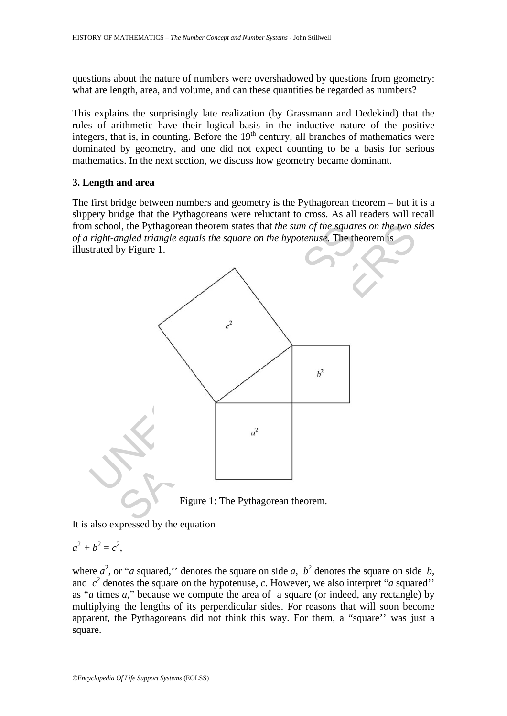questions about the nature of numbers were overshadowed by questions from geometry: what are length, area, and volume, and can these quantities be regarded as numbers?

This explains the surprisingly late realization (by Grassmann and Dedekind) that the rules of arithmetic have their logical basis in the inductive nature of the positive integers, that is, in counting. Before the  $19<sup>th</sup>$  century, all branches of mathematics were dominated by geometry, and one did not expect counting to be a basis for serious mathematics. In the next section, we discuss how geometry became dominant.

## **3. Length and area**

The first bridge between numbers and geometry is the Pythagorean theorem – but it is a slippery bridge that the Pythagoreans were reluctant to cross. As all readers will recall from school, the Pythagorean theorem states that *the sum of the squares on the two sides of a right-angled triangle equals the square on the hypotenuse*. The theorem is illustrated by Figure 1.





It is also expressed by the equation

$$
a^2+b^2=c^2,
$$

where  $a^2$ , or "*a* squared," denotes the square on side *a*,  $b^2$  denotes the square on side *b*, and  $c^2$  denotes the square on the hypotenuse, *c*. However, we also interpret "*a* squared'' as "*a* times *a*," because we compute the area of a square (or indeed, any rectangle) by multiplying the lengths of its perpendicular sides. For reasons that will soon become apparent, the Pythagoreans did not think this way. For them, a "square'' was just a square.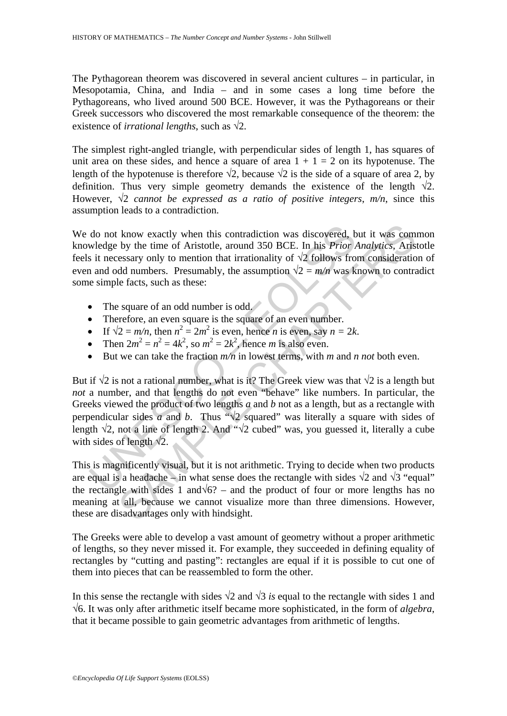The Pythagorean theorem was discovered in several ancient cultures – in particular, in Mesopotamia, China, and India – and in some cases a long time before the Pythagoreans, who lived around 500 BCE. However, it was the Pythagoreans or their Greek successors who discovered the most remarkable consequence of the theorem: the existence of *irrational lengths*, such as  $\sqrt{2}$ .

The simplest right-angled triangle, with perpendicular sides of length 1, has squares of unit area on these sides, and hence a square of area  $1 + 1 = 2$  on its hypotenuse. The length of the hypotenuse is therefore  $\sqrt{2}$ , because  $\sqrt{2}$  is the side of a square of area 2, by definition. Thus very simple geometry demands the existence of the length  $\sqrt{2}$ . However,  $\sqrt{2}$  *cannot be expressed as a ratio of positive integers, m/n, since this* assumption leads to a contradiction.

We do not know exactly when this contradiction was discovered, but it was common knowledge by the time of Aristotle, around 350 BCE. In his *Prior Analytics*, Aristotle feels it necessary only to mention that irrationality of  $\sqrt{2}$  follows from consideration of even and odd numbers. Presumably, the assumption  $\sqrt{2} = m/n$  was known to contradict some simple facts, such as these:

- The square of an odd number is odd.
- Therefore, an even square is the square of an even number.
- If  $\sqrt{2} = m/n$ , then  $n^2 = 2m^2$  is even, hence *n* is even, say  $n = 2k$ .
- Then  $2m^2 = n^2 = 4k^2$ , so  $m^2 = 2k^2$ , hence *m* is also even.
- But we can take the fraction *m/n* in lowest terms, with *m* and *n not* both even.

do not know exactly when this contradiction was discovered, by<br>
wledge by the time of Aristotle, around 350 BCE. In his *Prior i*<br>
s it necessary only to mention that irrationality of  $\sqrt{2}$  follows fro<br>
1 and odd numb know exactly when this contradiction was discovered, but it was com<br>by the time of Aristotle, around 350 BCE. In his *Prior Analytics*, Aris<br>essary only to mention that irrationality of  $\sqrt{2}$  follows from consideratio<br>d But if  $\sqrt{2}$  is not a rational number, what is it? The Greek view was that  $\sqrt{2}$  is a length but *not* a number, and that lengths do not even "behave" like numbers. In particular, the Greeks viewed the product of two lengths *a* and *b* not as a length, but as a rectangle with perpendicular sides *a* and *b*. Thus "√2 squared" was literally a square with sides of length  $\sqrt{2}$ , not a line of length 2. And " $\sqrt{2}$  cubed" was, you guessed it, literally a cube with sides of length  $\sqrt{2}$ .

This is magnificently visual, but it is not arithmetic. Trying to decide when two products are equal is a headache – in what sense does the rectangle with sides  $\sqrt{2}$  and  $\sqrt{3}$  "equal" the rectangle with sides 1 and√6? – and the product of four or more lengths has no meaning at all, because we cannot visualize more than three dimensions. However, these are disadvantages only with hindsight.

The Greeks were able to develop a vast amount of geometry without a proper arithmetic of lengths, so they never missed it. For example, they succeeded in defining equality of rectangles by "cutting and pasting": rectangles are equal if it is possible to cut one of them into pieces that can be reassembled to form the other.

In this sense the rectangle with sides  $\sqrt{2}$  and  $\sqrt{3}$  *is* equal to the rectangle with sides 1 and √6. It was only after arithmetic itself became more sophisticated, in the form of *algebra*, that it became possible to gain geometric advantages from arithmetic of lengths.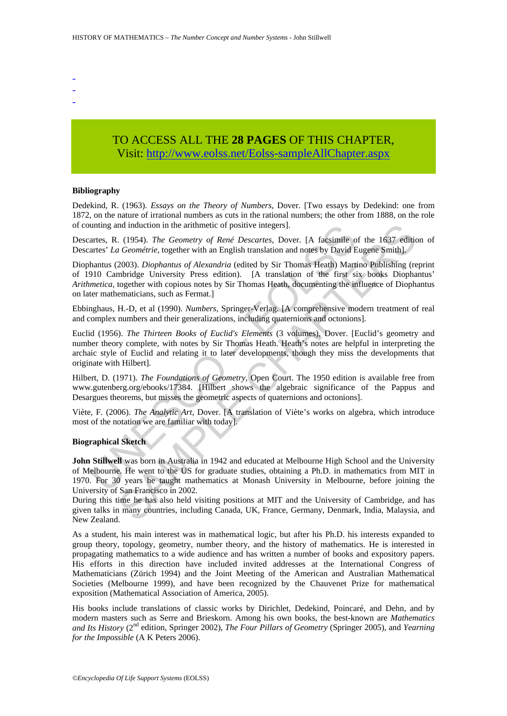- -
- -
- TO ACCESS ALL THE **28 PAGES** OF THIS CHAPTER, Visit[: http://www.eolss.net/Eolss-sampleAllChapter.aspx](https://www.eolss.net/ebooklib/sc_cart.aspx?File=E6-132-29)

### **Bibliography**

Dedekind, R. (1963). *Essays on the Theory of Numbers*, Dover. [Two essays by Dedekind: one from 1872, on the nature of irrational numbers as cuts in the rational numbers; the other from 1888, on the role of counting and induction in the arithmetic of positive integers].

Descartes, R. (1954). *The Geometry of René Descartes*, Dover. [A facsimile of the 1637 edition of Descartes' *La Geométrie*, together with an English translation and notes by David Eugene Smith].

unting and induction in the arithmetic of positive integers].<br>
rartes, R. (1954). The Geometry of René Descartes, Dover. [A facsimile o<br>
rartes' La Geometric, together with an English translation and notes by David B<br>
hhan nd induction in the arithmetic of positive integers].<br>
(1954). The Geometry of René Descartes, Dover. [A facsimile of the 1637 editital Geométrie, together with an English translation and notes by David Eugene Smith].<br>
200 Diophantus (2003). *Diophantus of Alexandria* (edited by Sir Thomas Heath) Martino Publishing (reprint of 1910 Cambridge University Press edition). [A translation of the first six books Diophantus' *Arithmetica*, together with copious notes by Sir Thomas Heath, documenting the influence of Diophantus on later mathematicians, such as Fermat.]

Ebbinghaus, H.-D, et al (1990). *Numbers*, Springer-Verlag. [A comprehensive modern treatment of real and complex numbers and their generalizations, including quaternions and octonions].

Euclid (1956). *The Thirteen Books of Euclid's Elements* (3 volumes), Dover. [Euclid's geometry and number theory complete, with notes by Sir Thomas Heath. Heath's notes are helpful in interpreting the archaic style of Euclid and relating it to later developments, though they miss the developments that originate with Hilbert].

Hilbert, D. (1971). *The Foundations of Geometry*, Open Court. The 1950 edition is available free from www.gutenberg.org/ebooks/17384. [Hilbert shows the algebraic significance of the Pappus and Desargues theorems, but misses the geometric aspects of quaternions and octonions].

Viète, F. (2006). *The Analytic Art*, Dover. [A translation of Viète's works on algebra, which introduce most of the notation we are familiar with today].

#### **Biographical Sketch**

**John Stillwell** was born in Australia in 1942 and educated at Melbourne High School and the University of Melbourne. He went to the US for graduate studies, obtaining a Ph.D. in mathematics from MIT in 1970. For 30 years he taught mathematics at Monash University in Melbourne, before joining the University of San Francisco in 2002.

During this time he has also held visiting positions at MIT and the University of Cambridge, and has given talks in many countries, including Canada, UK, France, Germany, Denmark, India, Malaysia, and New Zealand.

As a student, his main interest was in mathematical logic, but after his Ph.D. his interests expanded to group theory, topology, geometry, number theory, and the history of mathematics. He is interested in propagating mathematics to a wide audience and has written a number of books and expository papers. His efforts in this direction have included invited addresses at the International Congress of Mathematicians (Zürich 1994) and the Joint Meeting of the American and Australian Mathematical Societies (Melbourne 1999), and have been recognized by the Chauvenet Prize for mathematical exposition (Mathematical Association of America, 2005).

His books include translations of classic works by Dirichlet, Dedekind, Poincaré, and Dehn, and by modern masters such as Serre and Brieskorn. Among his own books, the best-known are *Mathematics and Its History* (2nd edition, Springer 2002), *The Four Pillars of Geometry* (Springer 2005), and *Yearning for the Impossible* (A K Peters 2006).